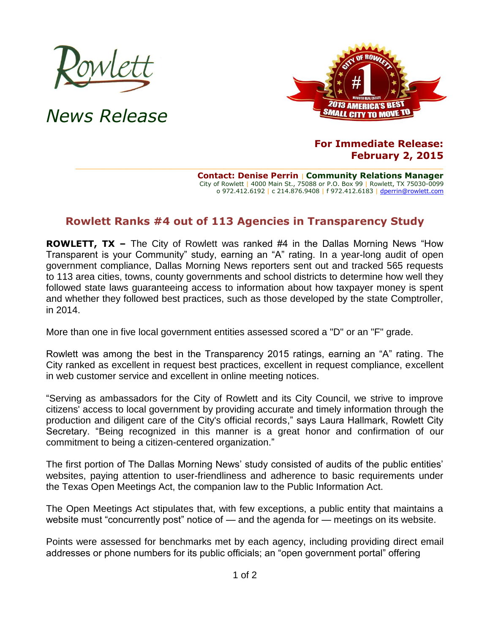

*News Release*



## **For Immediate Release: February 2, 2015**

**Contact: Denise Perrin** | **Community Relations Manager** City of Rowlett | 4000 Main St., 75088 or P.O. Box 99 | Rowlett, TX 75030-0099 o 972.412.6192 | c 214.876.9408 | f 972.412.6183 | [dperrin@rowlett.com](mailto:dperrin@rowlett.com)

## **Rowlett Ranks #4 out of 113 Agencies in Transparency Study**

**ROWLETT, TX –** The City of Rowlett was ranked #4 in the Dallas Morning News "How Transparent is your Community" study, earning an "A" rating. In a year-long audit of open government compliance, Dallas Morning News reporters sent out and tracked 565 requests to 113 area cities, towns, county governments and school districts to determine how well they followed state laws guaranteeing access to information about how taxpayer money is spent and whether they followed best practices, such as those developed by the state Comptroller, in 2014.

More than one in five local government entities assessed scored a "D" or an "F" grade.

Rowlett was among the best in the Transparency 2015 ratings, earning an "A" rating. The City ranked as excellent in request best practices, excellent in request compliance, excellent in web customer service and excellent in online meeting notices.

"Serving as ambassadors for the City of Rowlett and its City Council, we strive to improve citizens' access to local government by providing accurate and timely information through the production and diligent care of the City's official records," says Laura Hallmark, Rowlett City Secretary. "Being recognized in this manner is a great honor and confirmation of our commitment to being a citizen-centered organization."

The first portion of The Dallas Morning News' study consisted of audits of the public entities' websites, paying attention to user-friendliness and adherence to basic requirements under the Texas Open Meetings Act, the companion law to the Public Information Act.

The Open Meetings Act stipulates that, with few exceptions, a public entity that maintains a website must "concurrently post" notice of — and the agenda for — meetings on its website.

Points were assessed for benchmarks met by each agency, including providing direct email addresses or phone numbers for its public officials; an "open government portal" offering